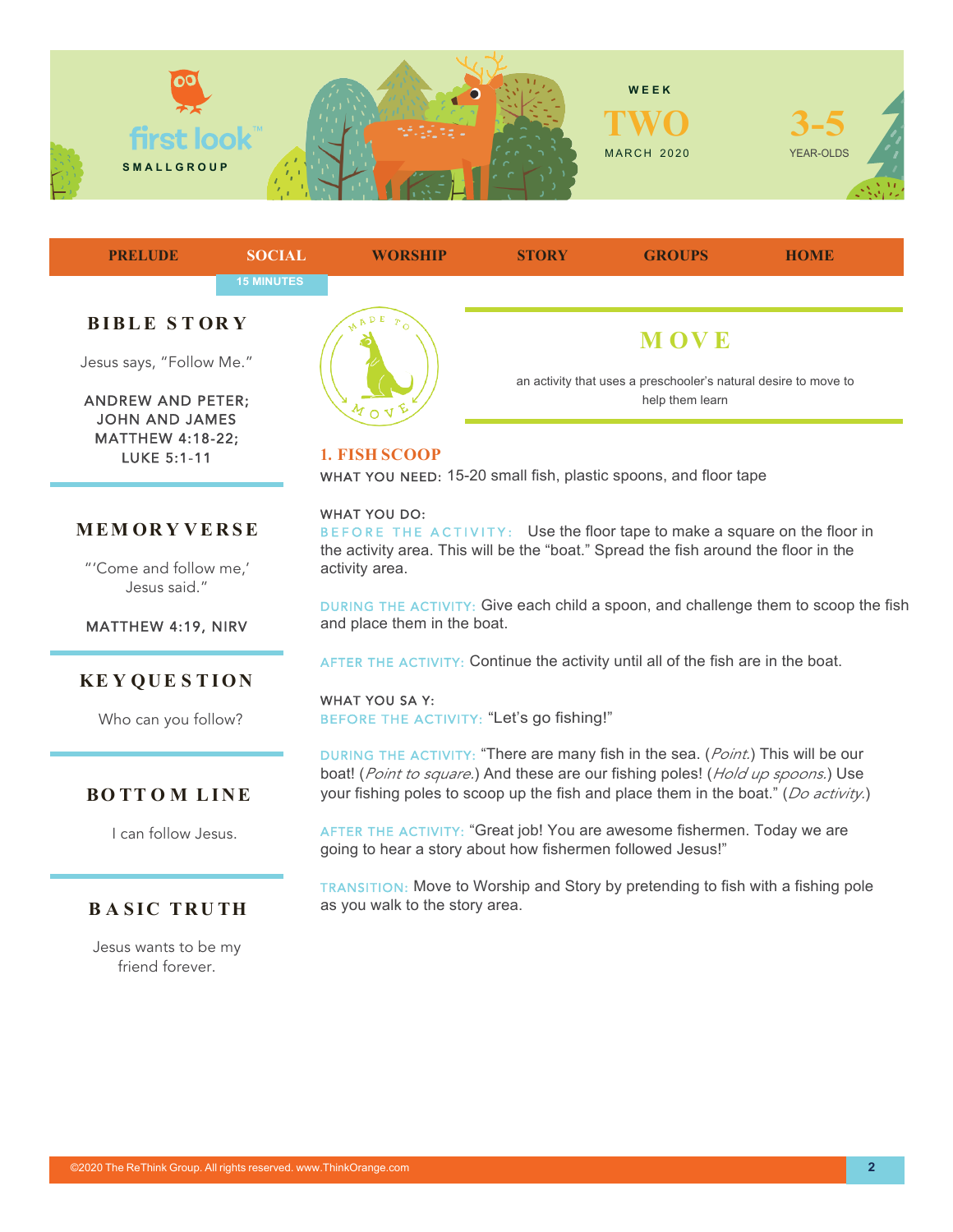



JOHN AND JAMES MATTHEW 4:18-22; LUKE 5:1-11



"'Come and follow me,' Jesus said."

MATTHEW 4:19, NIRV

## **KE Y QUE S TION**

Who can you follow?

## **BO TT O M LINE**

I can follow Jesus.

## **BASIC TRUTH**

Jesus wants to be my friend forever.



help them learn

**1. FISH SCOOP**

WHAT YOU NEED: 15-20 small fish, plastic spoons, and floor tape

#### WHAT YOU DO:

BEFORE THE ACTIVITY: Use the floor tape to make a square on the floor in the activity area. This will be the "boat." Spread the fish around the floor in the activity area.

DURING THE ACTIVITY: Give each child a spoon, and challenge them to scoop the fish and place them in the boat.

AFTER THE ACTIVITY: Continue the activity until all of the fish are in the boat.

WHAT YOU SA Y: BEFORE THE ACTIVITY: "Let's go fishing!"

DURING THE ACTIVITY: "There are many fish in the sea. (*Point.*) This will be our boat! (*Point to square.*) And these are our fishing poles! (*Hold up spoons.*) Use your fishing poles to scoop up the fish and place them in the boat." (*Do activity.*)

AFTER THE ACTIVITY: "Great job! You are awesome fishermen. Today we are going to hear a story about how fishermen followed Jesus!"

TRANSITION: Move to Worship and Story by pretending to fish with a fishing pole as you walk to the story area.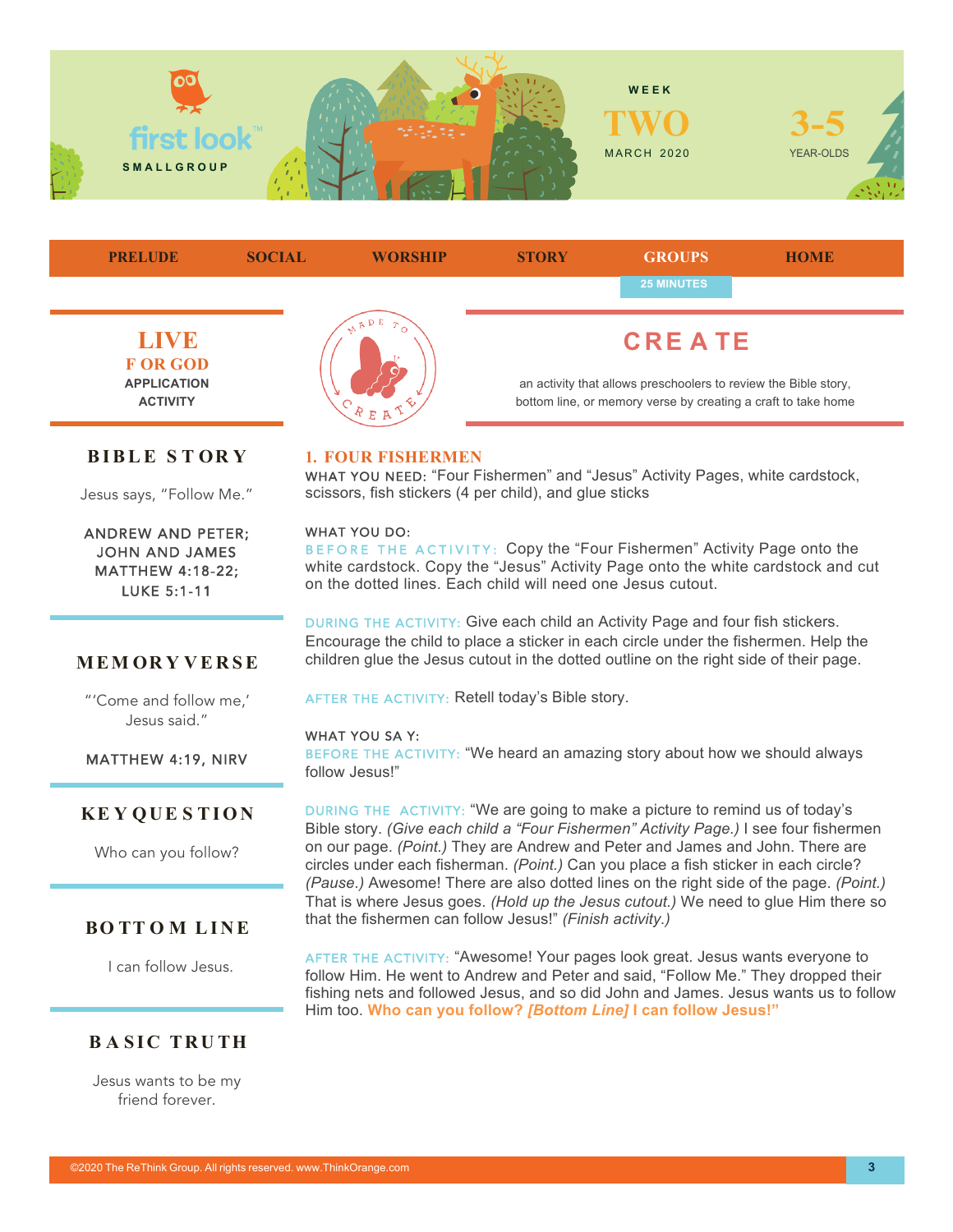

**LIVE F OR GOD APPLICATION ACTIVITY CRE A TE** an activity that allows preschoolers to review the Bible story, bottom line, or memory verse by creating a craft to take home **PRELUDE SOCIAL WORSHIP STORY GROUPS HOME 25 MINUTES**

## **BIBLE S T OR Y**

Jesus says, "Follow Me."

ANDREW AND PETER; JOHN AND JAMES MATTHEW 4:18-22; LUKE 5:1-11

**MEM OR Y VERSE**

"'Come and follow me,' Jesus said."

MATTHEW 4:19, NIRV

#### **1. FOUR FISHERMEN**

WHAT YOU NEED: "Four Fishermen" and "Jesus" Activity Pages, white cardstock, scissors, fish stickers (4 per child), and glue sticks

#### WHAT YOU DO:

BEFORE THE ACTIVITY: Copy the "Four Fishermen" Activity Page onto the white cardstock. Copy the "Jesus" Activity Page onto the white cardstock and cut on the dotted lines. Each child will need one Jesus cutout.

DURING THE ACTIVITY: Give each child an Activity Page and four fish stickers. Encourage the child to place a sticker in each circle under the fishermen. Help the children glue the Jesus cutout in the dotted outline on the right side of their page.

AFTER THE ACTIVITY: Retell today's Bible story.

#### WHAT YOU SA Y:

BEFORE THE ACTIVITY: "We heard an amazing story about how we should always follow Jesus!"

# **KE Y QUE S TION**

Who can you follow?

## **BO TT O M LINE**

I can follow Jesus.

## **BASIC TRUTH**

Jesus wants to be my friend forever.

DURING THE ACTIVITY: "We are going to make a picture to remind us of today's Bible story. *(Give each child a "Four Fishermen" Activity Page.)* I see four fishermen on our page. *(Point.)* They are Andrew and Peter and James and John. There are circles under each fisherman. *(Point.)* Can you place a fish sticker in each circle? *(Pause.)* Awesome! There are also dotted lines on the right side of the page. *(Point.)*  That is where Jesus goes. *(Hold up the Jesus cutout.)* We need to glue Him there so that the fishermen can follow Jesus!" *(Finish activity.)*

AFTER THE ACTIVITY: "Awesome! Your pages look great. Jesus wants everyone to follow Him. He went to Andrew and Peter and said, "Follow Me." They dropped their fishing nets and followed Jesus, and so did John and James. Jesus wants us to follow Him too. **Who can you follow?** *[Bottom Line]* **I can follow Jesus!"**